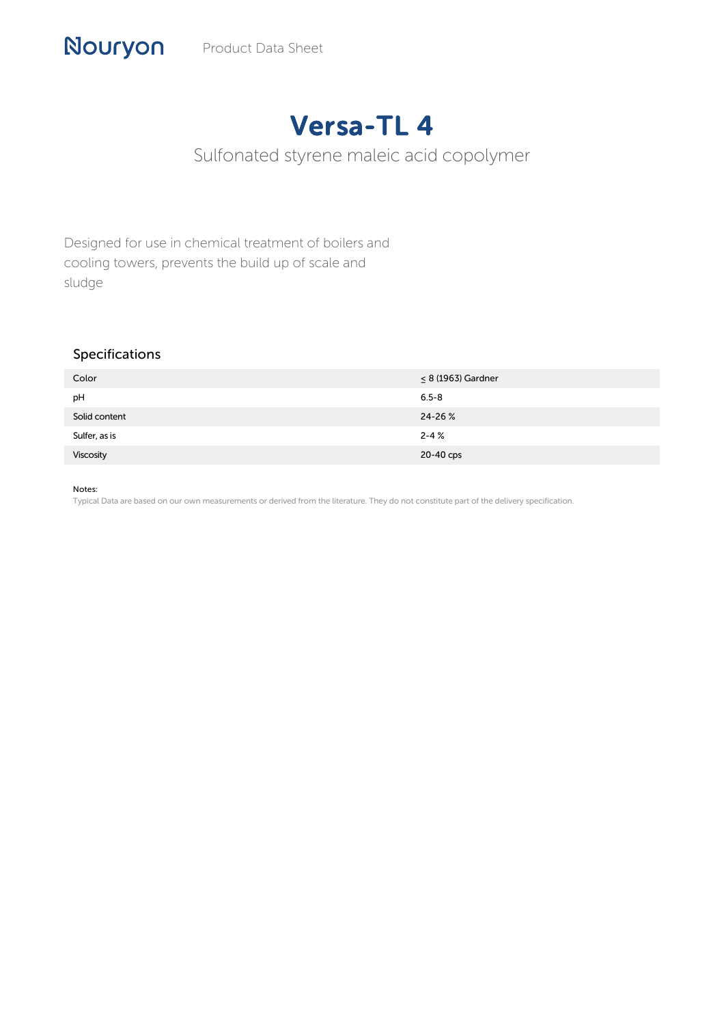# Versa-TL 4

# Sulfonated styrene maleic acid copolymer

Designed for use in chemical treatment of boilers and cooling towers, prevents the build up of scale and sludge

# Specifications

| Color         | $\leq 8$ (1963) Gardner |
|---------------|-------------------------|
| pH            | $6.5 - 8$               |
| Solid content | 24-26 %                 |
| Sulfer, as is | $2 - 4%$                |
| Viscosity     | 20-40 cps               |

#### Notes:

Typical Data are based on our own measurements or derived from the literature. They do not constitute part of the delivery specification.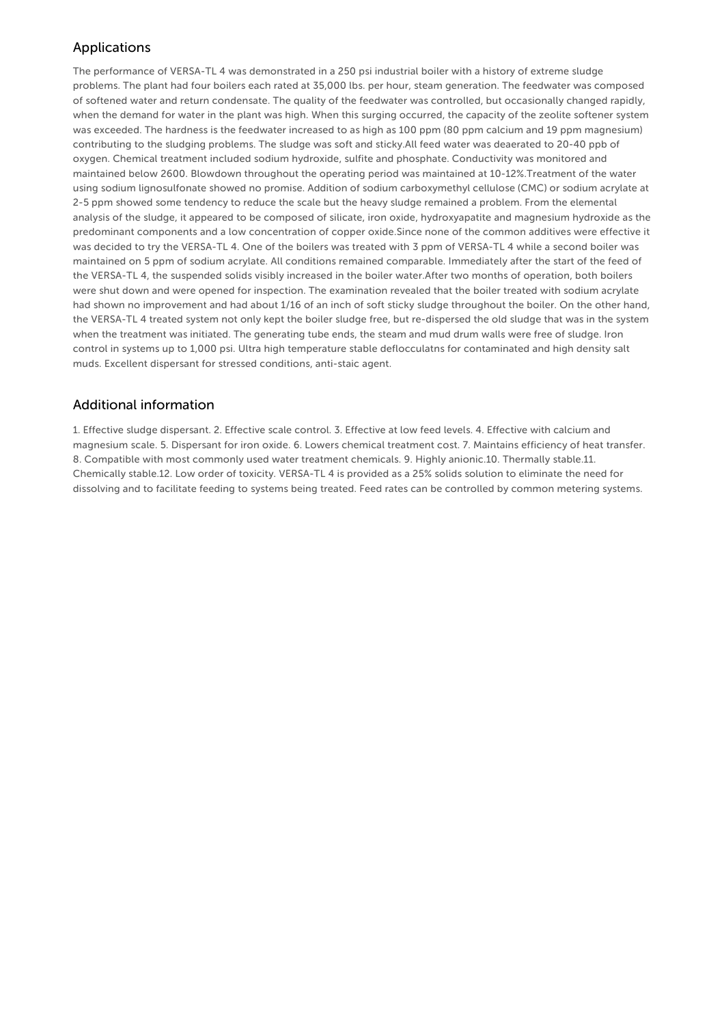# Applications

The performance of VERSA-TL 4 was demonstrated in a 250 psi industrial boiler with a history of extreme sludge problems. The plant had four boilers each rated at 35,000 lbs. per hour, steam generation. The feedwater was composed of softened water and return condensate. The quality of the feedwater was controlled, but occasionally changed rapidly, when the demand for water in the plant was high. When this surging occurred, the capacity of the zeolite softener system was exceeded. The hardness is the feedwater increased to as high as 100 ppm (80 ppm calcium and 19 ppm magnesium) contributing to the sludging problems. The sludge was soft and sticky.All feed water was deaerated to 20-40 ppb of oxygen. Chemical treatment included sodium hydroxide, sulfite and phosphate. Conductivity was monitored and maintained below 2600. Blowdown throughout the operating period was maintained at 10-12%.Treatment of the water using sodium lignosulfonate showed no promise. Addition of sodium carboxymethyl cellulose (CMC) or sodium acrylate at 2-5 ppm showed some tendency to reduce the scale but the heavy sludge remained a problem. From the elemental analysis of the sludge, it appeared to be composed of silicate, iron oxide, hydroxyapatite and magnesium hydroxide as the predominant components and a low concentration of copper oxide.Since none of the common additives were effective it was decided to try the VERSA-TL 4. One of the boilers was treated with 3 ppm of VERSA-TL 4 while a second boiler was maintained on 5 ppm of sodium acrylate. All conditions remained comparable. Immediately after the start of the feed of the VERSA-TL 4, the suspended solids visibly increased in the boiler water.After two months of operation, both boilers were shut down and were opened for inspection. The examination revealed that the boiler treated with sodium acrylate had shown no improvement and had about 1/16 of an inch of soft sticky sludge throughout the boiler. On the other hand, the VERSA-TL 4 treated system not only kept the boiler sludge free, but re-dispersed the old sludge that was in the system when the treatment was initiated. The generating tube ends, the steam and mud drum walls were free of sludge. Iron control in systems up to 1,000 psi. Ultra high temperature stable deflocculatns for contaminated and high density salt muds. Excellent dispersant for stressed conditions, anti-staic agent.

### Additional information

1. Effective sludge dispersant. 2. Effective scale control. 3. Effective at low feed levels. 4. Effective with calcium and magnesium scale. 5. Dispersant for iron oxide. 6. Lowers chemical treatment cost. 7. Maintains efficiency of heat transfer. 8. Compatible with most commonly used water treatment chemicals. 9. Highly anionic.10. Thermally stable.11. Chemically stable.12. Low order of toxicity. VERSA-TL 4 is provided as a 25% solids solution to eliminate the need for dissolving and to facilitate feeding to systems being treated. Feed rates can be controlled by common metering systems.